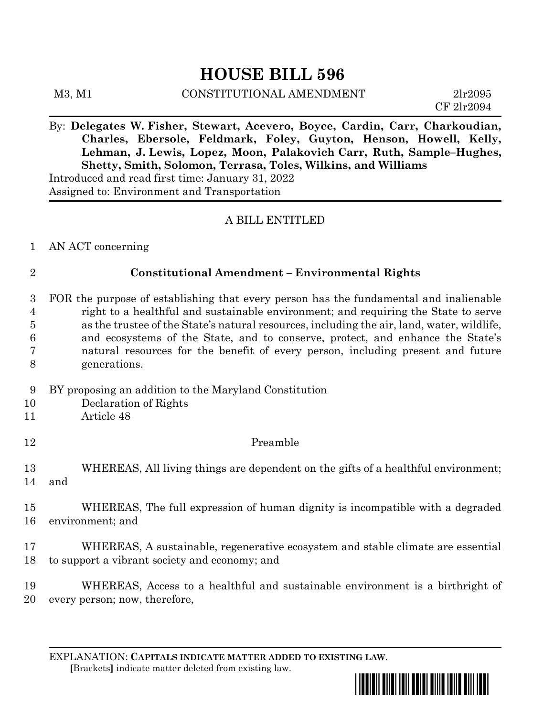# **HOUSE BILL 596**

M3, M1 CONSTITUTIONAL AMENDMENT 2lr2095

CF 2lr2094

By: **Delegates W. Fisher, Stewart, Acevero, Boyce, Cardin, Carr, Charkoudian, Charles, Ebersole, Feldmark, Foley, Guyton, Henson, Howell, Kelly, Lehman, J. Lewis, Lopez, Moon, Palakovich Carr, Ruth, Sample–Hughes, Shetty, Smith, Solomon, Terrasa, Toles, Wilkins, and Williams** Introduced and read first time: January 31, 2022 Assigned to: Environment and Transportation

### A BILL ENTITLED

1 AN ACT concerning

## 2 **Constitutional Amendment – Environmental Rights**

 FOR the purpose of establishing that every person has the fundamental and inalienable right to a healthful and sustainable environment; and requiring the State to serve as the trustee of the State's natural resources, including the air, land, water, wildlife, and ecosystems of the State, and to conserve, protect, and enhance the State's natural resources for the benefit of every person, including present and future generations.

- 9 BY proposing an addition to the Maryland Constitution
- 10 Declaration of Rights
- 11 Article 48
- 12 Preamble

13 WHEREAS, All living things are dependent on the gifts of a healthful environment; 14 and

15 WHEREAS, The full expression of human dignity is incompatible with a degraded 16 environment; and

17 WHEREAS, A sustainable, regenerative ecosystem and stable climate are essential 18 to support a vibrant society and economy; and

19 WHEREAS, Access to a healthful and sustainable environment is a birthright of 20 every person; now, therefore,

EXPLANATION: **CAPITALS INDICATE MATTER ADDED TO EXISTING LAW**.  **[**Brackets**]** indicate matter deleted from existing law.